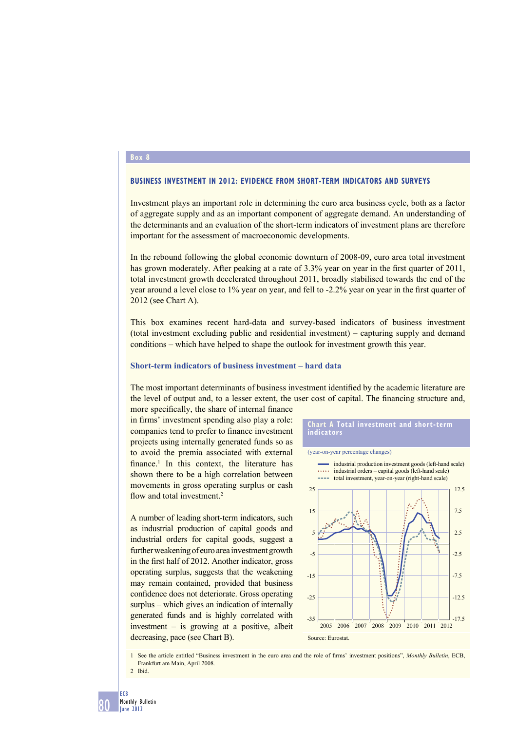### **Box 8**

# **BUSINESS INVESTMENT IN 2012: EVIDENCE FROM SHORT-TERM INDICATORS AND SURVEYS**

Investment plays an important role in determining the euro area business cycle, both as a factor of aggregate supply and as an important component of aggregate demand. An understanding of the determinants and an evaluation of the short-term indicators of investment plans are therefore important for the assessment of macroeconomic developments.

In the rebound following the global economic downturn of 2008-09, euro area total investment has grown moderately. After peaking at a rate of 3.3% year on year in the first quarter of 2011, total investment growth decelerated throughout 2011, broadly stabilised towards the end of the year around a level close to 1% year on year, and fell to -2.2% year on year in the first quarter of 2012 (see Chart A).

This box examines recent hard-data and survey-based indicators of business investment (total investment excluding public and residential investment) – capturing supply and demand conditions – which have helped to shape the outlook for investment growth this year.

# **Short-term indicators of business investment – hard data**

The most important determinants of business investment identified by the academic literature are the level of output and, to a lesser extent, the user cost of capital. The financing structure and,

more specifically, the share of internal finance in firms' investment spending also play a role: companies tend to prefer to finance investment projects using internally generated funds so as to avoid the premia associated with external finance.<sup>1</sup> In this context, the literature has shown there to be a high correlation between movements in gross operating surplus or cash flow and total investment.<sup>2</sup>

A number of leading short-term indicators, such as industrial production of capital goods and industrial orders for capital goods, suggest a further weakening of euro area investment growth in the first half of 2012. Another indicator, gross operating surplus, suggests that the weakening may remain contained, provided that business confidence does not deteriorate. Gross operating surplus – which gives an indication of internally generated funds and is highly correlated with investment – is growing at a positive, albeit decreasing, pace (see Chart B).

#### **Chart A Total investment and short-term indicators**

(year-on-year percentage changes)



1 See the article entitled "Business investment in the euro area and the role of firms' investment positions", Monthly Bulletin, ECB, Frankfurt am Main, April 2008.

80

<sup>2</sup> Ibid.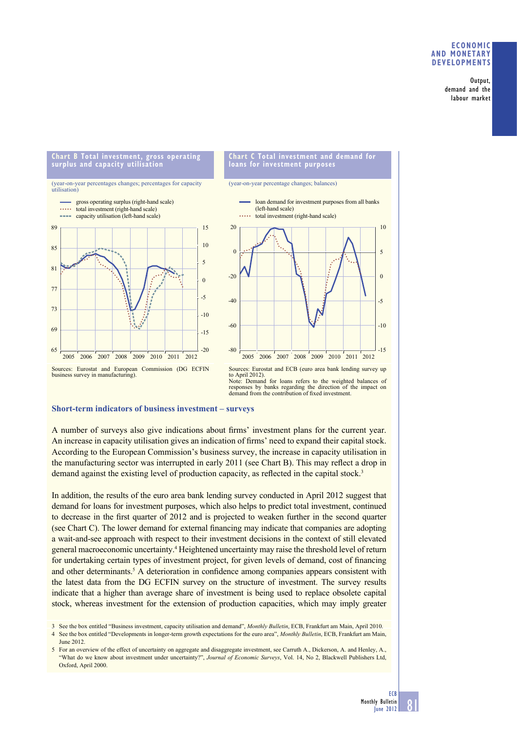## **ECONOMIC AND MONETARY DEVELOPMENTS**

Output, demand and the labour market

#### **Chart B Total investment, gross operating Chart C Total investment and demand for surplus and capacity utilisation loans for investment purposes** (year-on-year percentage changes; balances) (year-on-year percentages changes; percentages for capacity utilisation) gross operating surplus (right-hand scale) loan demand for investment purposes from all banks **Salar** total investment (right-hand scale) (left-hand scale) capacity utilisation (left-hand scale) total investment (right-hand scale) 20 89 15 10 85  $\overline{0}$ 5 81  $-20$ 0 77 -5  $-40$ 73  $-10$ -60 69  $-15$ 65  $-20$ -80 2005 2006 2007 2008 2009 2010 2011 2012 2005 2006 2007 20092008 2010 2011 2012 Sources: Eurostat and European Commission (DG ECFIN Sources: Eurostat and ECB (euro area bank lending survey up business survey in manufacturing). to April 2012).

Note: Demand for loans refers to the weighted balances of responses by banks regarding the direction of the impact on demand from the contribution of fixed investment.

## **Short-term indicators of business investment – surveys**

A number of surveys also give indications about firms' investment plans for the current year. An increase in capacity utilisation gives an indication of firms' need to expand their capital stock. According to the European Commission's business survey, the increase in capacity utilisation in the manufacturing sector was interrupted in early 2011 (see Chart B). This may reflect a drop in demand against the existing level of production capacity, as reflected in the capital stock.<sup>3</sup>

In addition, the results of the euro area bank lending survey conducted in April 2012 suggest that demand for loans for investment purposes, which also helps to predict total investment, continued to decrease in the first quarter of 2012 and is projected to weaken further in the second quarter (see Chart C). The lower demand for external financing may indicate that companies are adopting a wait-and-see approach with respect to their investment decisions in the context of still elevated general macroeconomic uncertainty.<sup>4</sup> Heightened uncertainty may raise the threshold level of return for undertaking certain types of investment project, for given levels of demand, cost of financing and other determinants.<sup>5</sup> A deterioration in confidence among companies appears consistent with the latest data from the DG ECFIN survey on the structure of investment. The survey results indicate that a higher than average share of investment is being used to replace obsolete capital stock, whereas investment for the extension of production capacities, which may imply greater

- 3 See the box entitled "Business investment, capacity utilisation and demand", *Monthly Bulletin*, ECB, Frankfurt am Main, April 2010.
- 4 See the box entitled "Developments in longer-term growth expectations for the euro area", *Monthly Bulletin*, ECB, Frankfurt am Main, June 2012.

 $-15$ 

 $-10$ 

-5

 $\Omega$ 

5

10

<sup>5</sup> For an overview of the effect of uncertainty on aggregate and disaggregate investment, see Carruth A., Dickerson, A. and Henley, A., "What do we know about investment under uncertainty?", *Journal of Economic Surveys*, Vol. 14, No 2, Blackwell Publishers Ltd, Oxford, April 2000.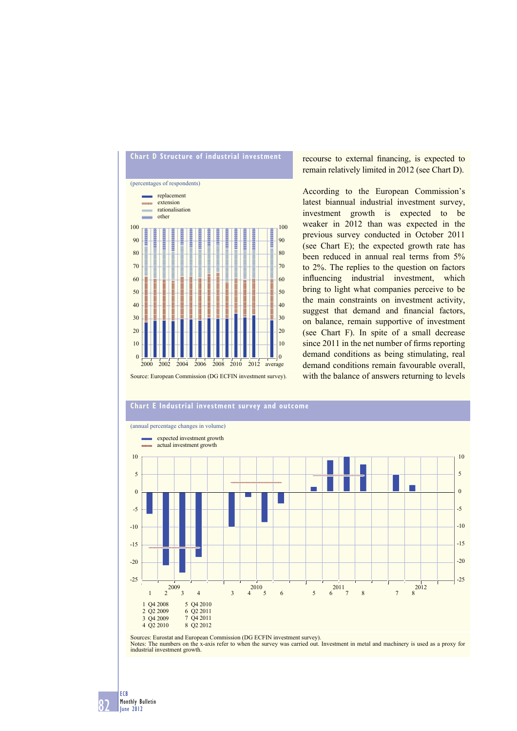

recourse to external financing, is expected to remain relatively limited in 2012 (see Chart D).

According to the European Commission's latest biannual industrial investment survey, investment growth is expected to be weaker in 2012 than was expected in the previous survey conducted in October 2011 (see Chart E); the expected growth rate has been reduced in annual real terms from 5% to 2%. The replies to the question on factors influencing industrial investment, which bring to light what companies perceive to be the main constraints on investment activity, suggest that demand and financial factors, on balance, remain supportive of investment (see Chart F). In spite of a small decrease since  $2011$  in the net number of firms reporting demand conditions as being stimulating, real demand conditions remain favourable overall, with the balance of answers returning to levels



Sources: Eurostat and European Commission (DG ECFIN investment survey). Notes: The numbers on the x-axis refer to when the survey was carried out. Investment in metal and machinery is used as a proxy for industrial investment growth.